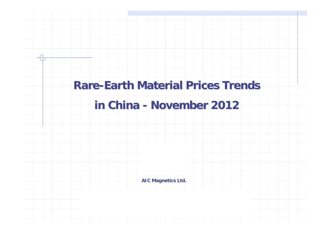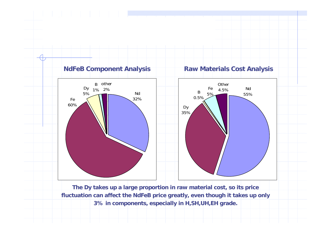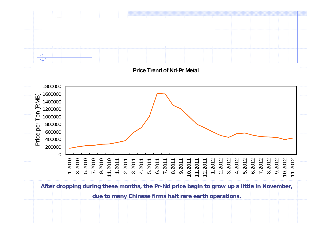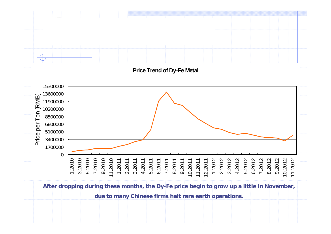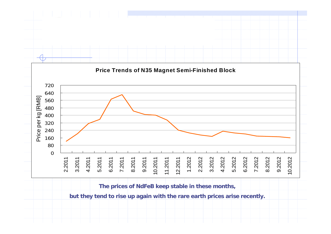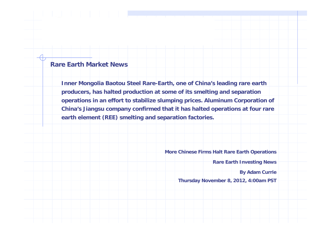## **Rare Earth Market News**

**Inner Mongolia Baotou Steel Rare-Earth, one of China's leading rare earth producers, has halted production at some of its smelting and separation operations in an effort to stabilize slumping prices. Aluminum Corporation of China's Jiangsu company confirmed that it has halted operations at four rare earth element (REE) smelting and separation factories.**

**More Chinese Firms Halt Rare Earth Operations**

**Rare Earth Investing News**

**By Adam Currie**

**Thursday November 8, 2012, 4:00am PST**